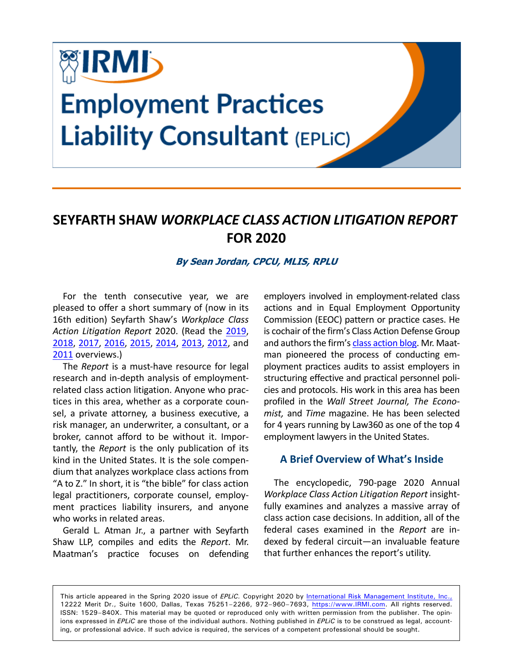

# **SEYFARTH SHAW** *WORKPLACE CLASS ACTION LITIGATION REPORT* **FOR 2020**

#### **By Sean Jordan, CPCU, MLIS, RPLU**

For the tenth consecutive year, we are pleased to offer a short summary of (now in its 16th edition) Seyfarth Shaw's *Workplace Class Action Litigation Report* 2020. (Read the [2019](https://www.irmi.com/online/eplic/ch000010/2019sprg/seyfarth-shaw-class-action-litigation-report-2019.aspx), [2018,](https://www.irmi.com/online/eplic/ch000010/2018sprg/seyfarth-shaw-class-action-litigation-report-2018.aspx) [2017](https://www.irmi.com/online/eplic/ch000010/2017sprg/seyfarth-shaw-2017-workplace-class-action-litigation-report.aspx), [2016,](https://www.irmi.com/online/eplic/ch000010/2016sprg/annual-workplace-class-action-litigation-report.aspx) [2015,](https://www.irmi.com/online/eplic/ch000010/2015sprg/seyfarth-shaw-2015-workplace-class-action-litigation-report.aspx) [2014](https://www.irmi.com/online/eplic/ch000010/2014sprg/seyfarth-shaws-workplace-class-action-litigation-report.aspx), [2013](https://www.irmi.com/online/eplic/ch000010/2013sprg/annual-workplace-class-action-litigation-report.aspx), [2012,](https://www.irmi.com/online/eplic/ch000010/2012sprg/3spr12-employment-related-class-actions.aspx) and [2011](https://www.irmi.com/online/eplic/ch000010/2011sprg/spring11-4-annual-workplace-litigation-report.aspx) overviews.)

The *Report* is a must-have resource for legal research and in-depth analysis of employmentrelated class action litigation. Anyone who practices in this area, whether as a corporate counsel, a private attorney, a business executive, a risk manager, an underwriter, a consultant, or a broker, cannot afford to be without it. Importantly, the *Report* is the only publication of its kind in the United States. It is the sole compendium that analyzes workplace class actions from "A to Z." In short, it is "the bible" for class action legal practitioners, corporate counsel, employment practices liability insurers, and anyone who works in related areas.

Gerald L. Atman Jr., a partner with Seyfarth Shaw LLP, compiles and edits the *Report*. Mr. Maatman's practice focuses on defending employers involved in employment-related class actions and in Equal Employment Opportunity Commission (EEOC) pattern or practice cases. He is cochair of the firm's Class Action Defense Group and authors the firm's [class action blog](http://www.workplaceclassaction.com/). Mr. Maatman pioneered the process of conducting employment practices audits to assist employers in structuring effective and practical personnel policies and protocols. His work in this area has been profiled in the *Wall Street Journal, The Economist,* and *Time* magazine. He has been selected for 4 years running by Law360 as one of the top 4 employment lawyers in the United States.

#### **A Brief Overview of What's Inside**

The encyclopedic, 790-page 2020 Annual *Workplace Class Action Litigation Report* insightfully examines and analyzes a massive array of class action case decisions. In addition, all of the federal cases examined in the *Report* are indexed by federal circuit—an invaluable feature that further enhances the report's utility.

This article appeared in the Spring 2020 issue of *EPLiC.* Copyright 2020 by [International Risk Management Institute, Inc.,](https://www.irmi.com) 12222 Merit Dr., Suite 1600, Dallas, Texas 75251–2266, 972–960–7693, [https://www.IRMI.com.](https://www.irmi.com) All rights reserved. ISSN: 1529–840X. This material may be quoted or reproduced only with written permission from the publisher. The opinions expressed in *EPLiC* are those of the individual authors. Nothing published in *EPLiC* is to be construed as legal, accounting, or professional advice. If such advice is required, the services of a competent professional should be sought.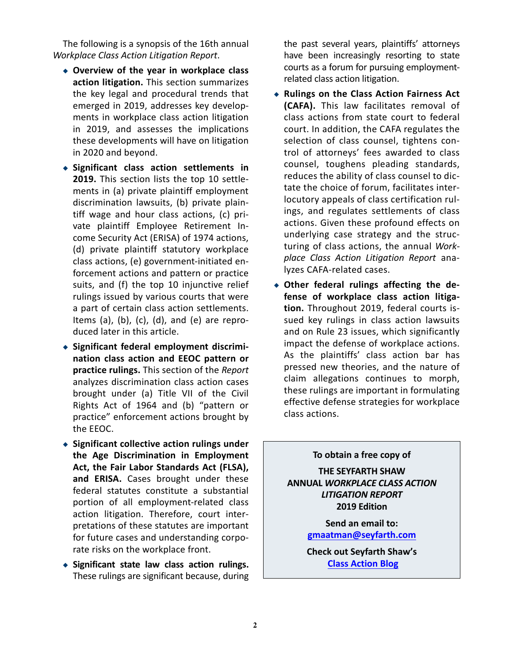The following is a synopsis of the 16th annual *Workplace Class Action Litigation Report*.

- ◆ **Overview of the year in workplace class action litigation.** This section summarizes the key legal and procedural trends that emerged in 2019, addresses key developments in workplace class action litigation in 2019, and assesses the implications these developments will have on litigation in 2020 and beyond.
- ◆ **Significant class action settlements in 2019.** This section lists the top 10 settlements in (a) private plaintiff employment discrimination lawsuits, (b) private plaintiff wage and hour class actions, (c) private plaintiff Employee Retirement Income Security Act (ERISA) of 1974 actions, (d) private plaintiff statutory workplace class actions, (e) government-initiated enforcement actions and pattern or practice suits, and (f) the top 10 injunctive relief rulings issued by various courts that were a part of certain class action settlements. Items (a), (b), (c), (d), and (e) are reproduced later in this article.
- ◆ **Significant federal employment discrimination class action and EEOC pattern or practice rulings.** This section of the *Report* analyzes discrimination class action cases brought under (a) Title VII of the Civil Rights Act of 1964 and (b) "pattern or practice" enforcement actions brought by the EEOC.
- ◆ **Significant collective action rulings under the Age Discrimination in Employment Act, the Fair Labor Standards Act (FLSA), and ERISA.** Cases brought under these federal statutes constitute a substantial portion of all employment-related class action litigation. Therefore, court interpretations of these statutes are important for future cases and understanding corporate risks on the workplace front.
- ◆ **Significant state law class action rulings.** These rulings are significant because, during

the past several years, plaintiffs' attorneys have been increasingly resorting to state courts as a forum for pursuing employmentrelated class action litigation.

- ◆ **Rulings on the Class Action Fairness Act (CAFA).** This law facilitates removal of class actions from state court to federal court. In addition, the CAFA regulates the selection of class counsel, tightens control of attorneys' fees awarded to class counsel, toughens pleading standards, reduces the ability of class counsel to dictate the choice of forum, facilitates interlocutory appeals of class certification rulings, and regulates settlements of class actions. Given these profound effects on underlying case strategy and the structuring of class actions, the annual *Workplace Class Action Litigation Report* analyzes CAFA-related cases.
- ◆ **Other federal rulings affecting the defense of workplace class action litigation.** Throughout 2019, federal courts issued key rulings in class action lawsuits and on Rule 23 issues, which significantly impact the defense of workplace actions. As the plaintiffs' class action bar has pressed new theories, and the nature of claim allegations continues to morph, these rulings are important in formulating effective defense strategies for workplace class actions.

#### **To obtain a free copy of**

**THE SEYFARTH SHAW ANNUAL** *WORKPLACE CLASS ACTION LITIGATION REPORT* **2019 Edition**

> **Send an email to: gmaatman@seyfarth.com**

> **Check out Seyfarth Shaw's [Class Action Blog](http://www.workplaceclassaction.com/)**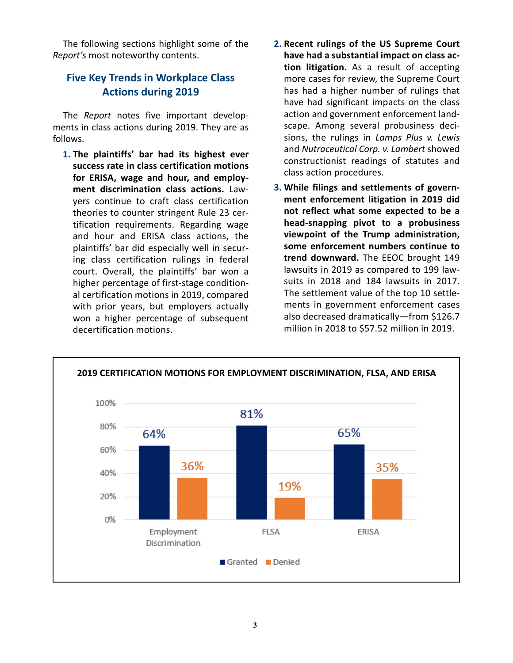The following sections highlight some of the *Report's* most noteworthy contents.

### **Five Key Trends in Workplace Class Actions during 2019**

The *Report* notes five important developments in class actions during 2019. They are as follows.

- **1. The plaintiffs' bar had its highest ever success rate in class certification motions for ERISA, wage and hour, and employment discrimination class actions.** Lawyers continue to craft class certification theories to counter stringent Rule 23 certification requirements. Regarding wage and hour and ERISA class actions, the plaintiffs' bar did especially well in securing class certification rulings in federal court. Overall, the plaintiffs' bar won a higher percentage of first-stage conditional certification motions in 2019, compared with prior years, but employers actually won a higher percentage of subsequent decertification motions.
- **2. Recent rulings of the US Supreme Court have had a substantial impact on class action litigation.** As a result of accepting more cases for review, the Supreme Court has had a higher number of rulings that have had significant impacts on the class action and government enforcement landscape. Among several probusiness decisions, the rulings in *Lamps Plus v. Lewis* and *Nutraceutical Corp. v. Lambert* showed constructionist readings of statutes and class action procedures.
- **3. While filings and settlements of government enforcement litigation in 2019 did not reflect what some expected to be a head-snapping pivot to a probusiness viewpoint of the Trump administration, some enforcement numbers continue to trend downward.** The EEOC brought 149 lawsuits in 2019 as compared to 199 lawsuits in 2018 and 184 lawsuits in 2017. The settlement value of the top 10 settlements in government enforcement cases also decreased dramatically—from \$126.7 million in 2018 to \$57.52 million in 2019.

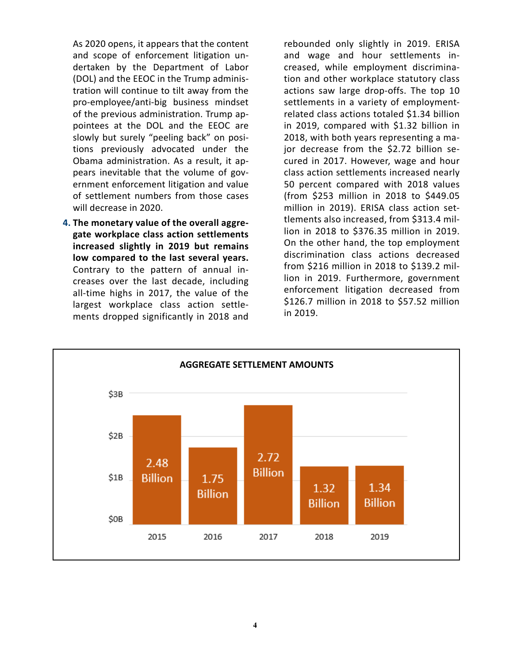As 2020 opens, it appears that the content and scope of enforcement litigation undertaken by the Department of Labor (DOL) and the EEOC in the Trump administration will continue to tilt away from the pro-employee/anti-big business mindset of the previous administration. Trump appointees at the DOL and the EEOC are slowly but surely "peeling back" on positions previously advocated under the Obama administration. As a result, it appears inevitable that the volume of government enforcement litigation and value of settlement numbers from those cases will decrease in 2020.

**4. The monetary value of the overall aggregate workplace class action settlements increased slightly in 2019 but remains low compared to the last several years.** Contrary to the pattern of annual increases over the last decade, including all-time highs in 2017, the value of the largest workplace class action settlements dropped significantly in 2018 and

rebounded only slightly in 2019. ERISA and wage and hour settlements increased, while employment discrimination and other workplace statutory class actions saw large drop-offs. The top 10 settlements in a variety of employmentrelated class actions totaled \$1.34 billion in 2019, compared with \$1.32 billion in 2018, with both years representing a major decrease from the \$2.72 billion secured in 2017. However, wage and hour class action settlements increased nearly 50 percent compared with 2018 values (from \$253 million in 2018 to \$449.05 million in 2019). ERISA class action settlements also increased, from \$313.4 million in 2018 to \$376.35 million in 2019. On the other hand, the top employment discrimination class actions decreased from \$216 million in 2018 to \$139.2 million in 2019. Furthermore, government enforcement litigation decreased from \$126.7 million in 2018 to \$57.52 million in 2019.

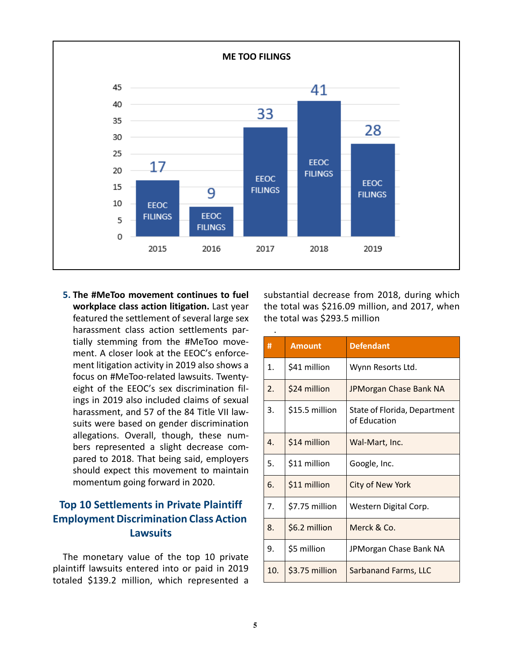

**5. The #MeToo movement continues to fuel workplace class action litigation.** Last year featured the settlement of several large sex harassment class action settlements partially stemming from the #MeToo movement. A closer look at the EEOC's enforcement litigation activity in 2019 also shows a focus on #MeToo-related lawsuits. Twentyeight of the EEOC's sex discrimination filings in 2019 also included claims of sexual harassment, and 57 of the 84 Title VII lawsuits were based on gender discrimination allegations. Overall, though, these numbers represented a slight decrease compared to 2018. That being said, employers should expect this movement to maintain momentum going forward in 2020.

## **Top 10 Settlements in Private Plaintiff Employment Discrimination Class Action Lawsuits**

The monetary value of the top 10 private plaintiff lawsuits entered into or paid in 2019 totaled \$139.2 million, which represented a substantial decrease from 2018, during which the total was \$216.09 million, and 2017, when the total was \$293.5 million

| #                | <b>Amount</b>  | <b>Defendant</b>                             |
|------------------|----------------|----------------------------------------------|
| 1.               | \$41 million   | Wynn Resorts Ltd.                            |
| $\overline{2}$ . | \$24 million   | JPMorgan Chase Bank NA                       |
| 3.               | \$15.5 million | State of Florida, Department<br>of Education |
| $\overline{4}$ . | \$14 million   | Wal-Mart, Inc.                               |
| 5.               | \$11 million   | Google, Inc.                                 |
| 6.               | \$11 million   | City of New York                             |
| 7.               | \$7.75 million | Western Digital Corp.                        |
| 8.               | \$6.2 million  | Merck & Co.                                  |
| 9.               | \$5 million    | JPMorgan Chase Bank NA                       |
| 10.              | \$3.75 million | <b>Sarbanand Farms, LLC</b>                  |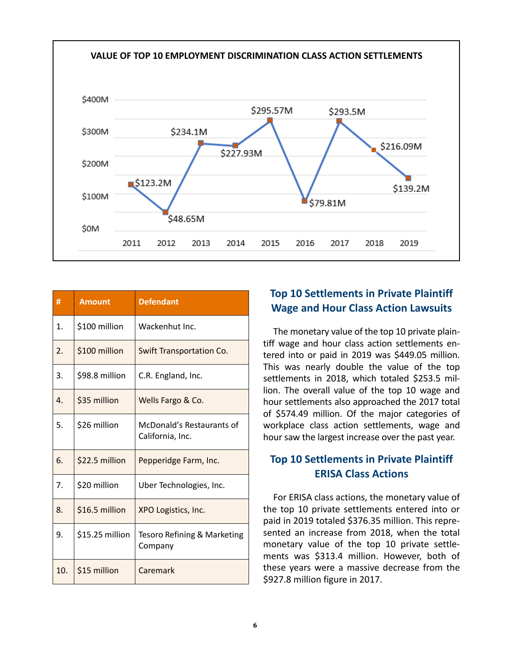

| #                | <b>Amount</b>   | <b>Defendant</b>                              |
|------------------|-----------------|-----------------------------------------------|
| 1.               | \$100 million   | Wackenhut Inc.                                |
| 2.               | \$100 million   | <b>Swift Transportation Co.</b>               |
| 3.               | \$98.8 million  | C.R. England, Inc.                            |
| $\overline{4}$ . | \$35 million    | Wells Fargo & Co.                             |
| 5.               | \$26 million    | McDonald's Restaurants of<br>California, Inc. |
| 6.               | \$22.5 million  | Pepperidge Farm, Inc.                         |
| 7.               | \$20 million    | Uber Technologies, Inc.                       |
| 8.               | \$16.5 million  | XPO Logistics, Inc.                           |
| 9.               | \$15.25 million | Tesoro Refining & Marketing<br>Company        |
| 10.              | \$15 million    | Caremark                                      |

# **Top 10 Settlements in Private Plaintiff Wage and Hour Class Action Lawsuits**

The monetary value of the top 10 private plaintiff wage and hour class action settlements entered into or paid in 2019 was \$449.05 million. This was nearly double the value of the top settlements in 2018, which totaled \$253.5 million. The overall value of the top 10 wage and hour settlements also approached the 2017 total of \$574.49 million. Of the major categories of workplace class action settlements, wage and hour saw the largest increase over the past year.

### **Top 10 Settlements in Private Plaintiff ERISA Class Actions**

For ERISA class actions, the monetary value of the top 10 private settlements entered into or paid in 2019 totaled \$376.35 million. This represented an increase from 2018, when the total monetary value of the top 10 private settlements was \$313.4 million. However, both of these years were a massive decrease from the \$927.8 million figure in 2017.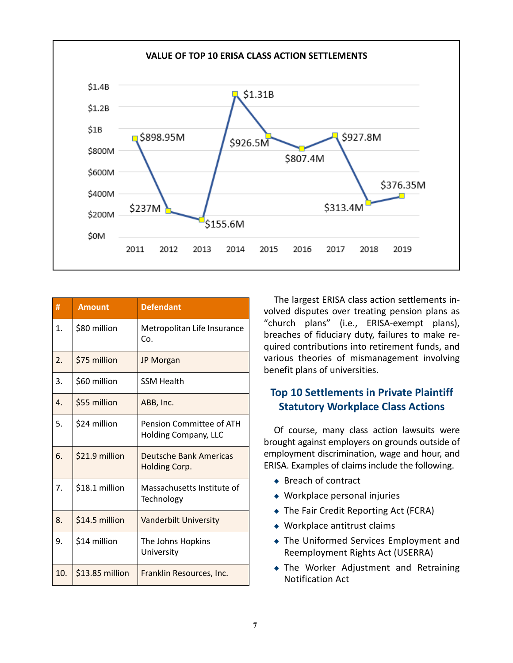

| #                | <b>Amount</b>   | <b>Defendant</b>                                 |
|------------------|-----------------|--------------------------------------------------|
| 1.               | \$80 million    | Metropolitan Life Insurance<br>Co.               |
| 2.               | \$75 million    | <b>JP Morgan</b>                                 |
| 3.               | \$60 million    | <b>SSM Health</b>                                |
| $\overline{4}$ . | \$55 million    | ABB, Inc.                                        |
| 5.               | \$24 million    | Pension Committee of ATH<br>Holding Company, LLC |
| 6.               | \$21.9 million  | Deutsche Bank Americas<br>Holding Corp.          |
| 7.               | \$18.1 million  | Massachusetts Institute of<br>Technology         |
| 8.               | \$14.5 million  | <b>Vanderbilt University</b>                     |
| 9.               | \$14 million    | The Johns Hopkins<br>University                  |
| 10.              | \$13.85 million | Franklin Resources, Inc.                         |

The largest ERISA class action settlements involved disputes over treating pension plans as "church plans" (i.e., ERISA-exempt plans), breaches of fiduciary duty, failures to make required contributions into retirement funds, and various theories of mismanagement involving benefit plans of universities.

## **Top 10 Settlements in Private Plaintiff Statutory Workplace Class Actions**

Of course, many class action lawsuits were brought against employers on grounds outside of employment discrimination, wage and hour, and ERISA. Examples of claims include the following.

- ◆ Breach of contract
- ◆ Workplace personal injuries
- ◆ The Fair Credit Reporting Act (FCRA)
- ◆ Workplace antitrust claims
- ◆ The Uniformed Services Employment and Reemployment Rights Act (USERRA)
- ◆ The Worker Adjustment and Retraining Notification Act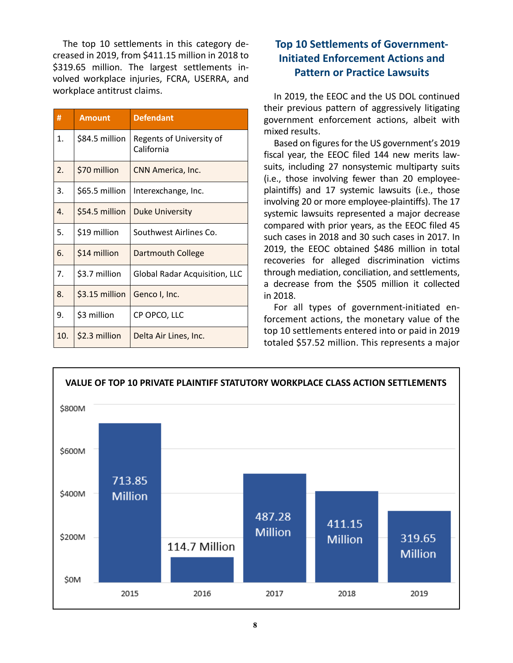The top 10 settlements in this category decreased in 2019, from \$411.15 million in 2018 to \$319.65 million. The largest settlements involved workplace injuries, FCRA, USERRA, and workplace antitrust claims.

| #   | <b>Amount</b>  | <b>Defendant</b>                       |
|-----|----------------|----------------------------------------|
| 1.  | \$84.5 million | Regents of University of<br>California |
| 2.  | \$70 million   | CNN America, Inc.                      |
| 3.  | \$65.5 million | Interexchange, Inc.                    |
| 4.  | \$54.5 million | <b>Duke University</b>                 |
| 5.  | \$19 million   | Southwest Airlines Co.                 |
| 6.  | \$14 million   | <b>Dartmouth College</b>               |
| 7.  | \$3.7 million  | <b>Global Radar Acquisition, LLC</b>   |
| 8.  | \$3.15 million | Genco I, Inc.                          |
| 9.  | \$3 million    | CP OPCO, LLC                           |
| 10. | \$2.3 million  | Delta Air Lines, Inc.                  |

# **Top 10 Settlements of Government-Initiated Enforcement Actions and Pattern or Practice Lawsuits**

In 2019, the EEOC and the US DOL continued their previous pattern of aggressively litigating government enforcement actions, albeit with mixed results.

Based on figures for the US government's 2019 fiscal year, the EEOC filed 144 new merits lawsuits, including 27 nonsystemic multiparty suits (i.e., those involving fewer than 20 employeeplaintiffs) and 17 systemic lawsuits (i.e., those involving 20 or more employee-plaintiffs). The 17 systemic lawsuits represented a major decrease compared with prior years, as the EEOC filed 45 such cases in 2018 and 30 such cases in 2017. In 2019, the EEOC obtained \$486 million in total recoveries for alleged discrimination victims through mediation, conciliation, and settlements, a decrease from the \$505 million it collected in 2018.

For all types of government-initiated enforcement actions, the monetary value of the top 10 settlements entered into or paid in 2019 totaled \$57.52 million. This represents a major